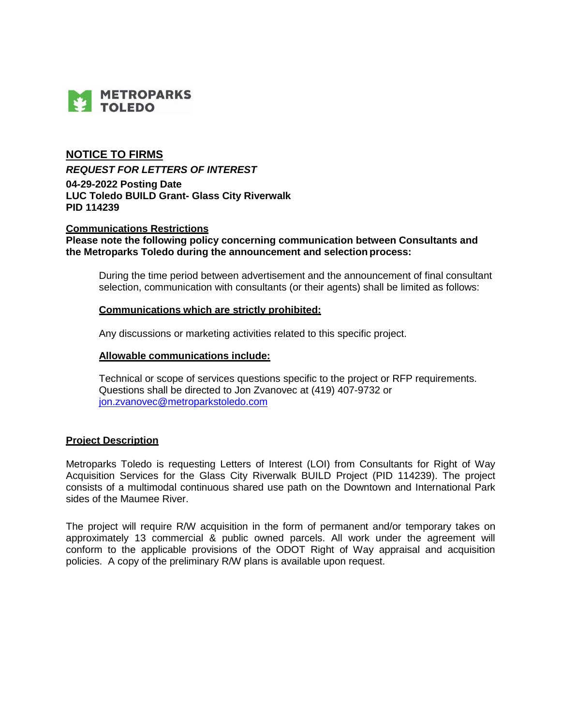

# **NOTICE TO FIRMS**

*REQUEST FOR LETTERS OF INTEREST*

**04-29-2022 Posting Date LUC Toledo BUILD Grant- Glass City Riverwalk PID 114239**

### **Communications Restrictions**

**Please note the following policy concerning communication between Consultants and the Metroparks Toledo during the announcement and selection process:**

During the time period between advertisement and the announcement of final consultant selection, communication with consultants (or their agents) shall be limited as follows:

### **Communications which are strictly prohibited:**

Any discussions or marketing activities related to this specific project.

### **Allowable communications include:**

Technical or scope of services questions specific to the project or RFP requirements. Questions shall be directed to Jon Zvanovec at (419) 407-9732 or [jon.zvanovec@metroparkstoledo.com](mailto:jon.zvanovec@metroparkstoledo.com)

### **Project Description**

Metroparks Toledo is requesting Letters of Interest (LOI) from Consultants for Right of Way Acquisition Services for the Glass City Riverwalk BUILD Project (PID 114239). The project consists of a multimodal continuous shared use path on the Downtown and International Park sides of the Maumee River.

The project will require R/W acquisition in the form of permanent and/or temporary takes on approximately 13 commercial & public owned parcels. All work under the agreement will conform to the applicable provisions of the ODOT Right of Way appraisal and acquisition policies. A copy of the preliminary R/W plans is available upon request.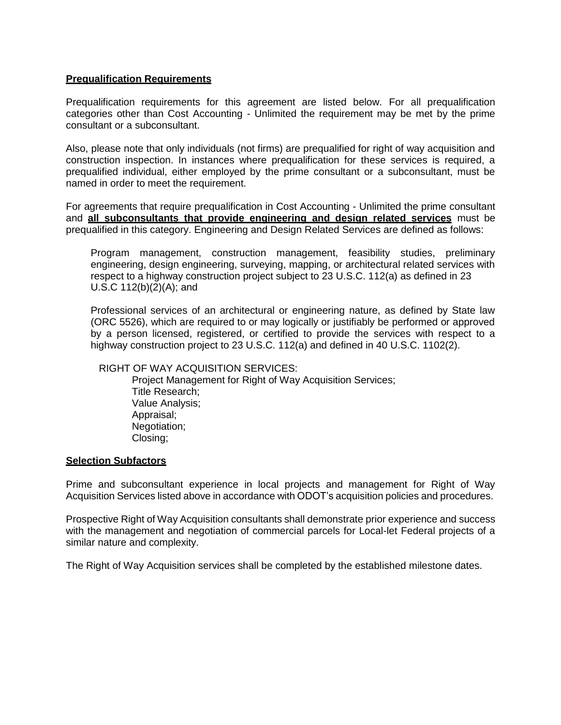## **Prequalification Requirements**

Prequalification requirements for this agreement are listed below. For all prequalification categories other than Cost Accounting - Unlimited the requirement may be met by the prime consultant or a subconsultant.

Also, please note that only individuals (not firms) are prequalified for right of way acquisition and construction inspection. In instances where prequalification for these services is required, a prequalified individual, either employed by the prime consultant or a subconsultant, must be named in order to meet the requirement.

For agreements that require prequalification in Cost Accounting - Unlimited the prime consultant and **all subconsultants that provide engineering and design related services** must be prequalified in this category. Engineering and Design Related Services are defined as follows:

Program management, construction management, feasibility studies, preliminary engineering, design engineering, surveying, mapping, or architectural related services with respect to a highway construction project subject to 23 U.S.C. 112(a) as defined in 23 U.S.C 112(b)(2)(A); and

Professional services of an architectural or engineering nature, as defined by State law (ORC 5526), which are required to or may logically or justifiably be performed or approved by a person licensed, registered, or certified to provide the services with respect to a highway construction project to 23 U.S.C. 112(a) and defined in 40 U.S.C. 1102(2).

### RIGHT OF WAY ACQUISITION SERVICES:

Project Management for Right of Way Acquisition Services; Title Research; Value Analysis; Appraisal; Negotiation; Closing;

### **Selection Subfactors**

Prime and subconsultant experience in local projects and management for Right of Way Acquisition Services listed above in accordance with ODOT's acquisition policies and procedures.

Prospective Right of Way Acquisition consultants shall demonstrate prior experience and success with the management and negotiation of commercial parcels for Local-let Federal projects of a similar nature and complexity.

The Right of Way Acquisition services shall be completed by the established milestone dates.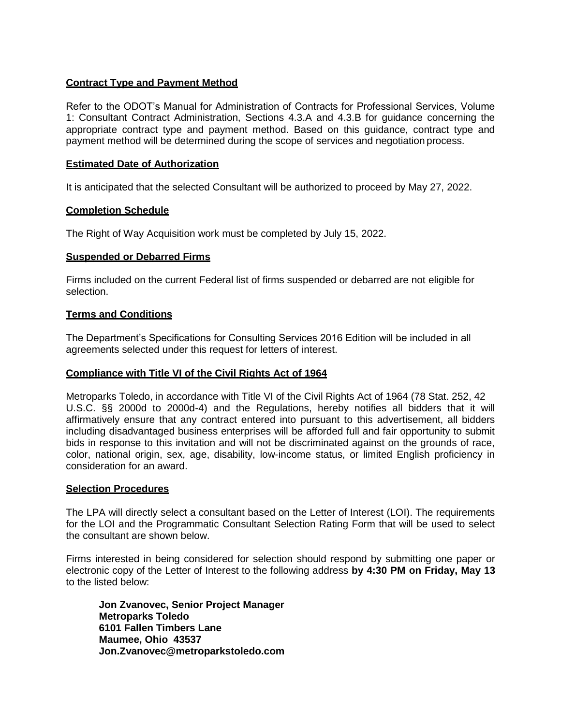## **Contract Type and Payment Method**

Refer to the ODOT's Manual for Administration of Contracts for Professional Services, Volume 1: Consultant Contract Administration, Sections 4.3.A and 4.3.B for guidance concerning the appropriate contract type and payment method. Based on this guidance, contract type and payment method will be determined during the scope of services and negotiation process.

## **Estimated Date of Authorization**

It is anticipated that the selected Consultant will be authorized to proceed by May 27, 2022.

### **Completion Schedule**

The Right of Way Acquisition work must be completed by July 15, 2022.

### **Suspended or Debarred Firms**

Firms included on the current Federal list of firms suspended or debarred are not eligible for selection.

### **Terms and Conditions**

The Department's Specifications for Consulting Services 2016 Edition will be included in all agreements selected under this request for letters of interest.

## **Compliance with Title VI of the Civil Rights Act of 1964**

Metroparks Toledo, in accordance with Title VI of the Civil Rights Act of 1964 (78 Stat. 252, 42 U.S.C. §§ 2000d to 2000d-4) and the Regulations, hereby notifies all bidders that it will affirmatively ensure that any contract entered into pursuant to this advertisement, all bidders including disadvantaged business enterprises will be afforded full and fair opportunity to submit bids in response to this invitation and will not be discriminated against on the grounds of race, color, national origin, sex, age, disability, low-income status, or limited English proficiency in consideration for an award.

### **Selection Procedures**

The LPA will directly select a consultant based on the Letter of Interest (LOI). The requirements for the LOI and the Programmatic Consultant Selection Rating Form that will be used to select the consultant are shown below.

Firms interested in being considered for selection should respond by submitting one paper or electronic copy of the Letter of Interest to the following address **by 4:30 PM on Friday, May 13** to the listed below:

**Jon Zvanovec, Senior Project Manager Metroparks Toledo 6101 Fallen Timbers Lane Maumee, Ohio 43537 Jon.Zvanovec@metroparkstoledo.com**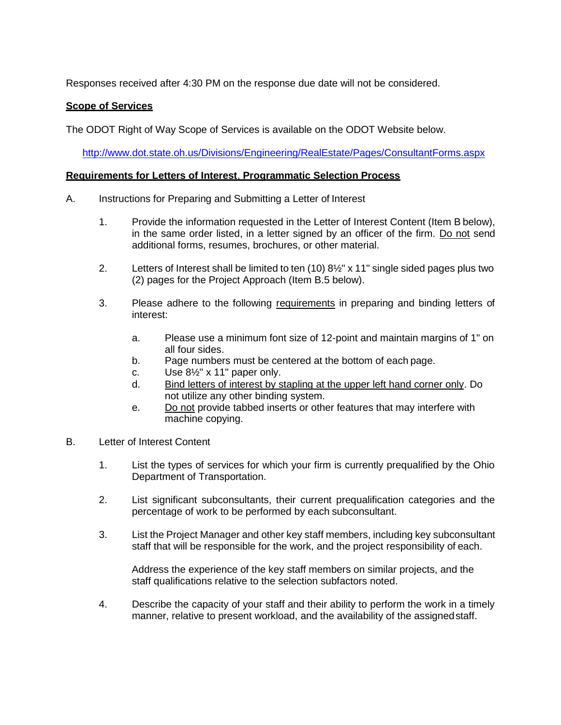Responses received after 4:30 PM on the response due date will not be considered.

## **Scope of Services**

The ODOT Right of Way Scope of Services is available on the ODOT Website below.

<http://www.dot.state.oh.us/Divisions/Engineering/RealEstate/Pages/ConsultantForms.aspx>

## **Requirements for Letters of Interest**, **Programmatic Selection Process**

- A. Instructions for Preparing and Submitting a Letter of Interest
	- 1. Provide the information requested in the Letter of Interest Content (Item B below), in the same order listed, in a letter signed by an officer of the firm. Do not send additional forms, resumes, brochures, or other material.
	- 2. Letters of Interest shall be limited to ten (10) 8½" x 11" single sided pages plus two (2) pages for the Project Approach (Item B.5 below).
	- 3. Please adhere to the following requirements in preparing and binding letters of interest:
		- a. Please use a minimum font size of 12-point and maintain margins of 1" on all four sides.
		- b. Page numbers must be centered at the bottom of each page.
		- c. Use 8½" x 11" paper only.
		- d. Bind letters of interest by stapling at the upper left hand corner only. Do not utilize any other binding system.
		- e. Do not provide tabbed inserts or other features that may interfere with machine copying.
- B. Letter of Interest Content
	- 1. List the types of services for which your firm is currently prequalified by the Ohio Department of Transportation.
	- 2. List significant subconsultants, their current prequalification categories and the percentage of work to be performed by each subconsultant.
	- 3. List the Project Manager and other key staff members, including key subconsultant staff that will be responsible for the work, and the project responsibility of each.

Address the experience of the key staff members on similar projects, and the staff qualifications relative to the selection subfactors noted.

4. Describe the capacity of your staff and their ability to perform the work in a timely manner, relative to present workload, and the availability of the assignedstaff.